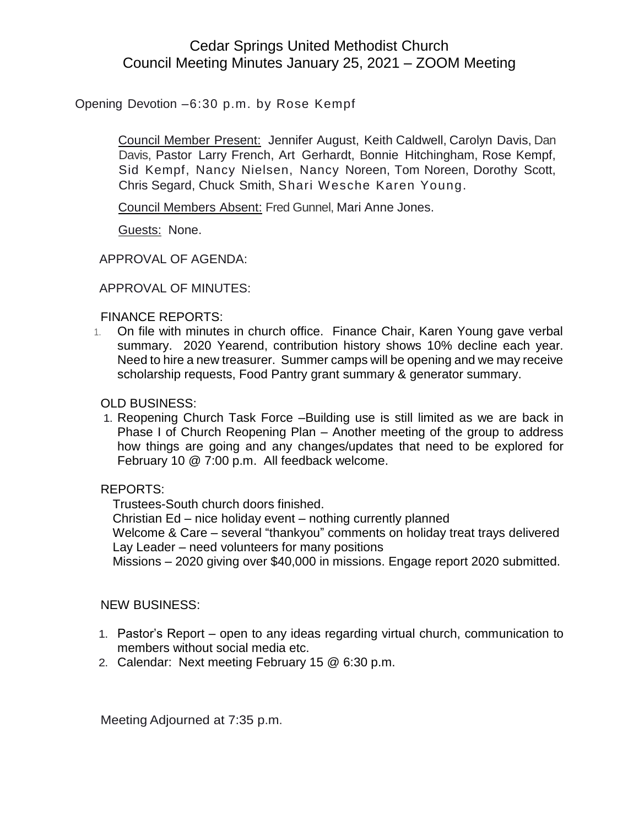# Cedar Springs United Methodist Church Council Meeting Minutes January 25, 2021 – ZOOM Meeting

Opening Devotion –6:30 p.m. by Rose Kempf

Council Member Present: Jennifer August, Keith Caldwell, Carolyn Davis, Dan Davis, Pastor Larry French, Art Gerhardt, Bonnie Hitchingham, Rose Kempf, Sid Kempf, Nancy Nielsen, Nancy Noreen, Tom Noreen, Dorothy Scott, Chris Segard, Chuck Smith, Shari Wesche Karen Young.

Council Members Absent: Fred Gunnel, Mari Anne Jones.

Guests: None.

APPROVAL OF AGENDA:

APPROVAL OF MINUTES:

#### FINANCE REPORTS:

1. On file with minutes in church office. Finance Chair, Karen Young gave verbal summary. 2020 Yearend, contribution history shows 10% decline each year. Need to hire a new treasurer. Summer camps will be opening and we may receive scholarship requests, Food Pantry grant summary & generator summary.

## OLD BUSINESS:

1. Reopening Church Task Force –Building use is still limited as we are back in Phase I of Church Reopening Plan – Another meeting of the group to address how things are going and any changes/updates that need to be explored for February 10 @ 7:00 p.m. All feedback welcome.

## REPORTS:

Trustees-South church doors finished.

Christian Ed – nice holiday event – nothing currently planned

Welcome & Care – several "thankyou" comments on holiday treat trays delivered Lay Leader – need volunteers for many positions

Missions – 2020 giving over \$40,000 in missions. Engage report 2020 submitted.

#### NEW BUSINESS:

- 1. Pastor's Report open to any ideas regarding virtual church, communication to members without social media etc.
- 2. Calendar: Next meeting February 15 @ 6:30 p.m.

Meeting Adjourned at 7:35 p.m.